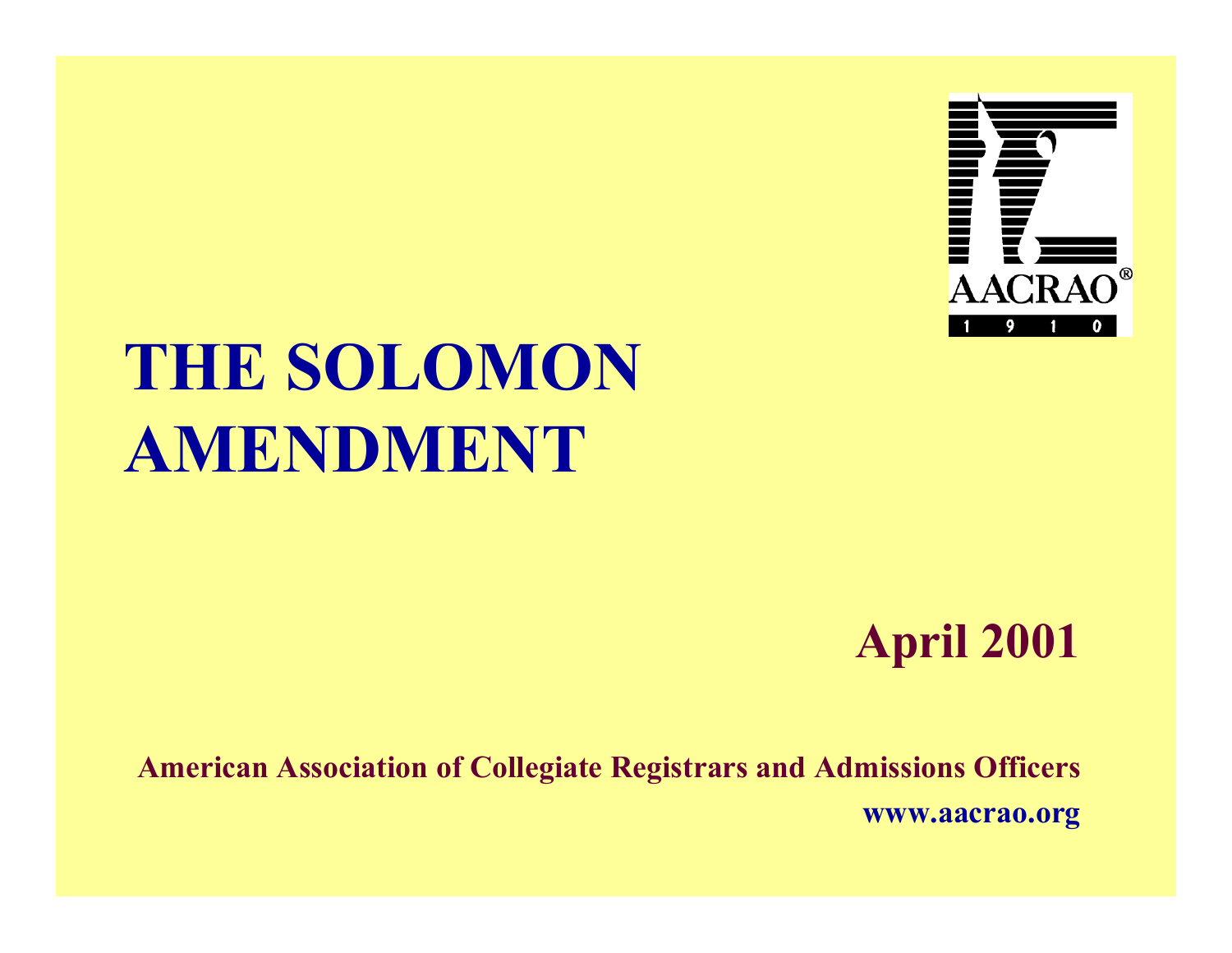

## **THE SOLOMONAMENDMENT**

#### **April 2001**

**American Association of Collegiate Registrars and Admissions Officers www.aacrao.org**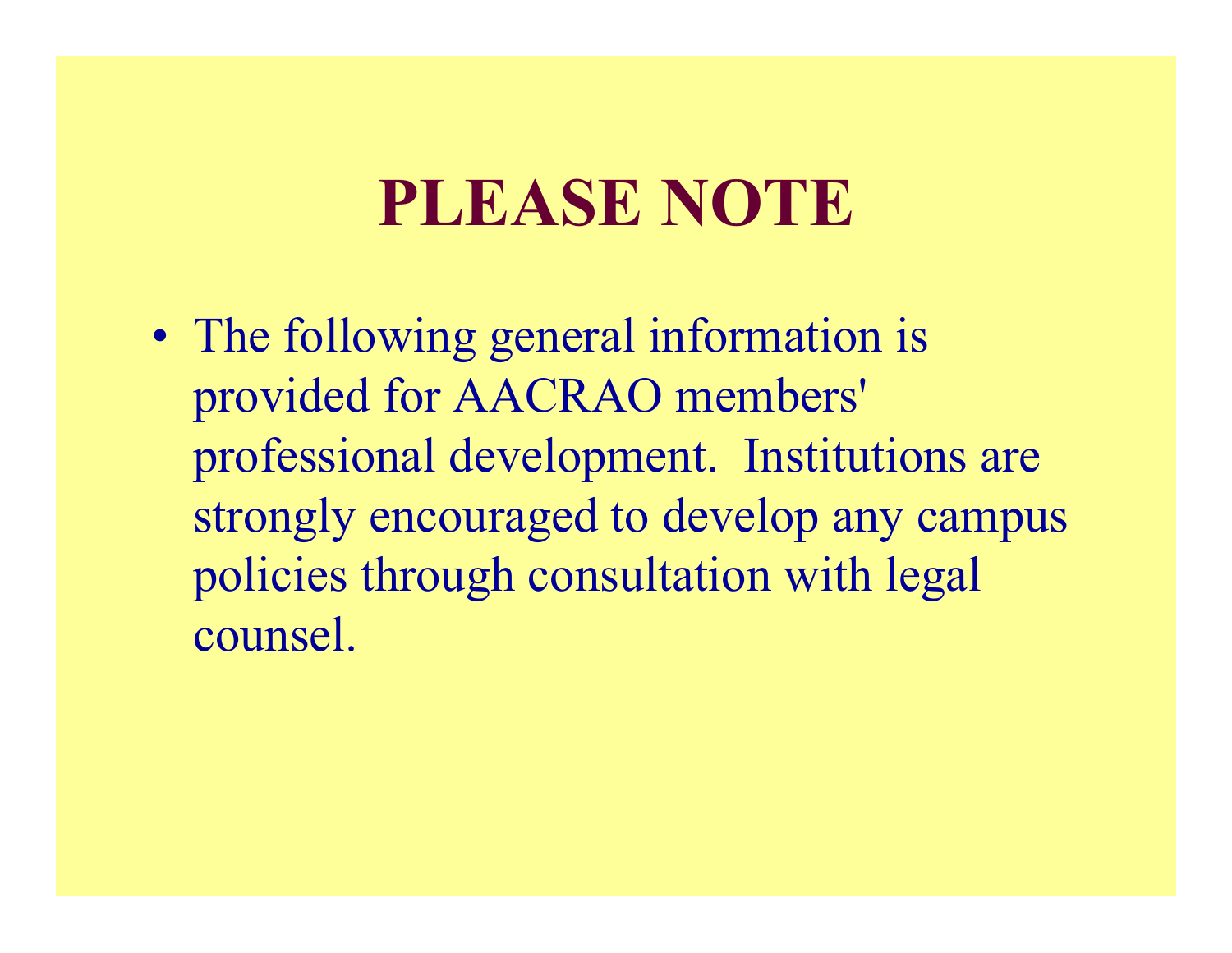#### **PLEASE NOTE**

• The following general information is provided for AACRAO members' professional development. Institutions are strongly encouraged to develop any campus policies through consultation with legal counsel.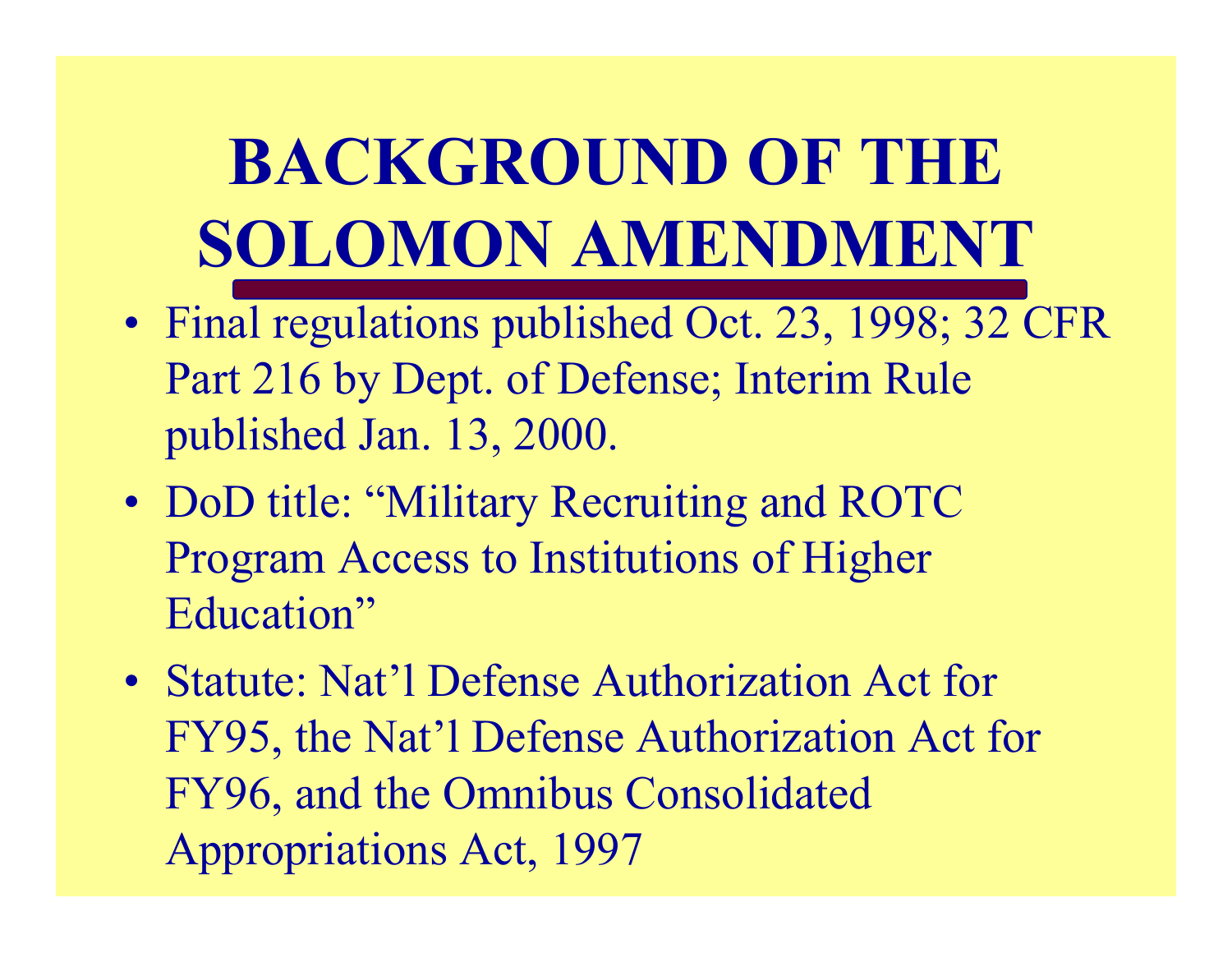**BACKGROUND OF THESOLOMON AMENDMENT**

- Final regulations published Oct. 23, 1998; 32 CFR Part 216 by Dept. of Defense; Interim Rule published Jan. 13, 2000.
- DoD title: "Military Recruiting and ROTC Program Access to Institutions of Higher Education"
- Statute: Nat'l Defense Authorization Act for FY95, the Nat'l Defense Authorization Act for FY96, and the Omnibus Consolidated Appropriations Act, 1997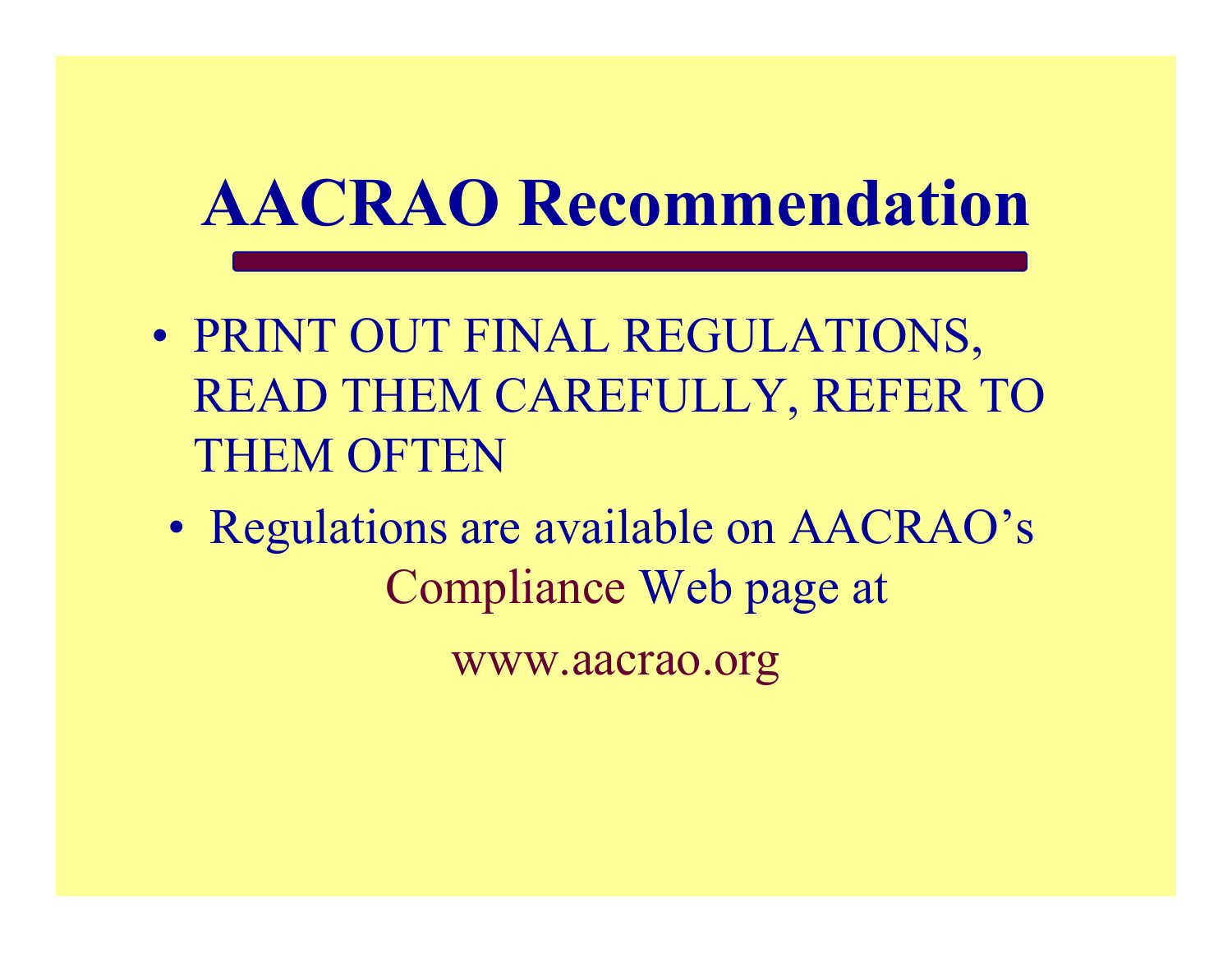## **AACRAO Recommendation**

- PRINT OUT FINAL REGULATIONS, READ THEM CAREFULLY, REFER TO THEM OFTEN
	- Regulations are available on AACRAO's Compliance Web page at

www.aacrao.org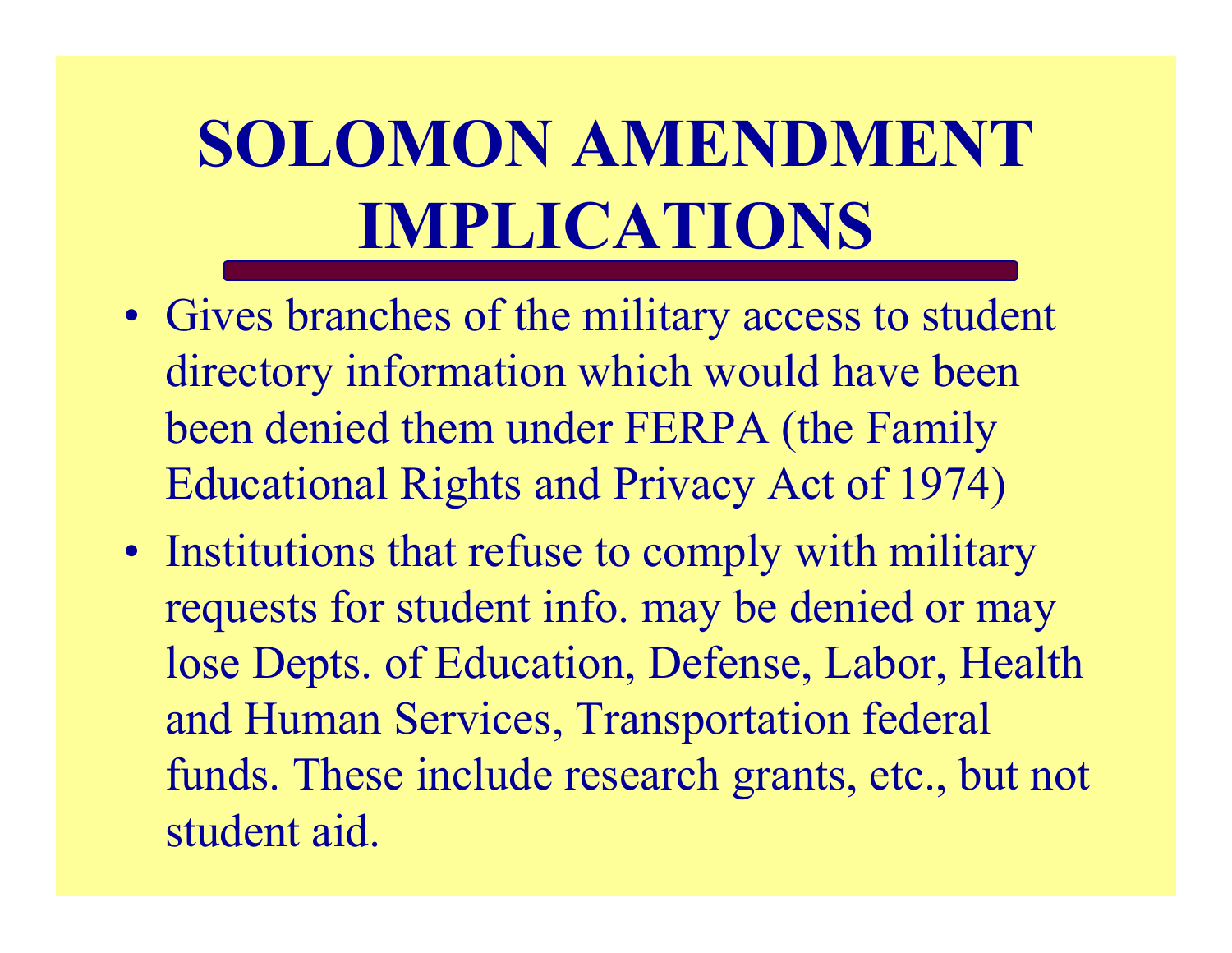# **SOLOMON AMENDMENTIMPLICATIONS**

- Gives branches of the military access to student directory information which would have been been denied them under FERPA (the Family Educational Rights and Privacy Act of 1974)
- Institutions that refuse to comply with military requests for student info. may be denied or may lose Depts. of Education, Defense, Labor, Health and Human Services, Transportation federal funds. These include research grants, etc., but not student aid.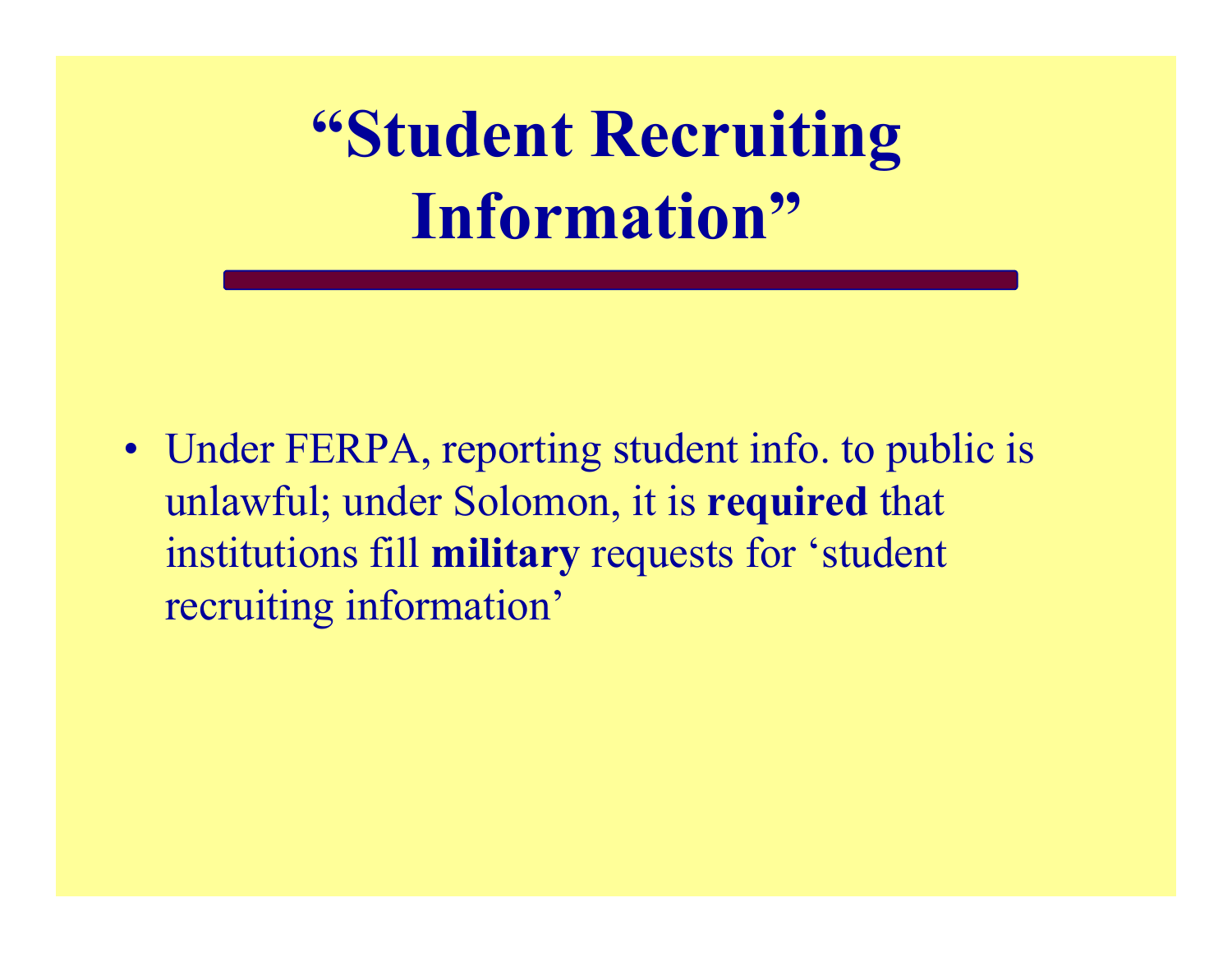**"Student Recruiting Information"**

• Under FERPA, reporting student info. to public is unlawful; under Solomon, it is **required** that institutions fill **military** requests for 'student recruiting information'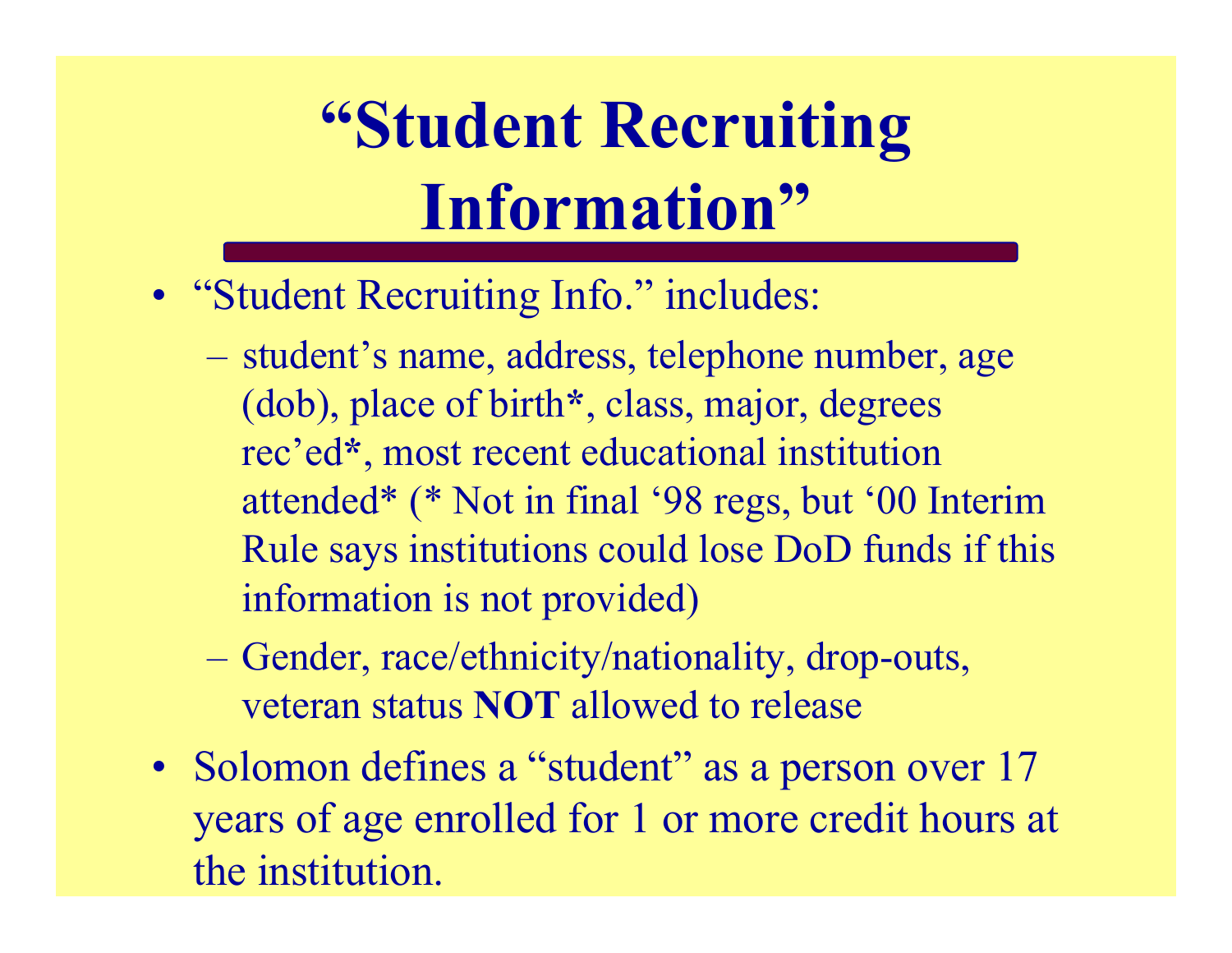## **"Student Recruiting Information"**

- "Student Recruiting Info." includes:
	- student's name, address, telephone number, age (dob), place of birth **\***, class, major, degrees rec'ed **\***, most recent educational institution attended\* (\* Not in final '98 regs, but '00 Interim Rule says institutions could lose DoD funds if this information is not provided)
	- Gender, race/ethnicity/nationality, drop-outs, veteran status **NOT** allowed to release
- Solomon defines a "student" as a person over 17 years of age enrolled for 1 or more credit hours at the institution.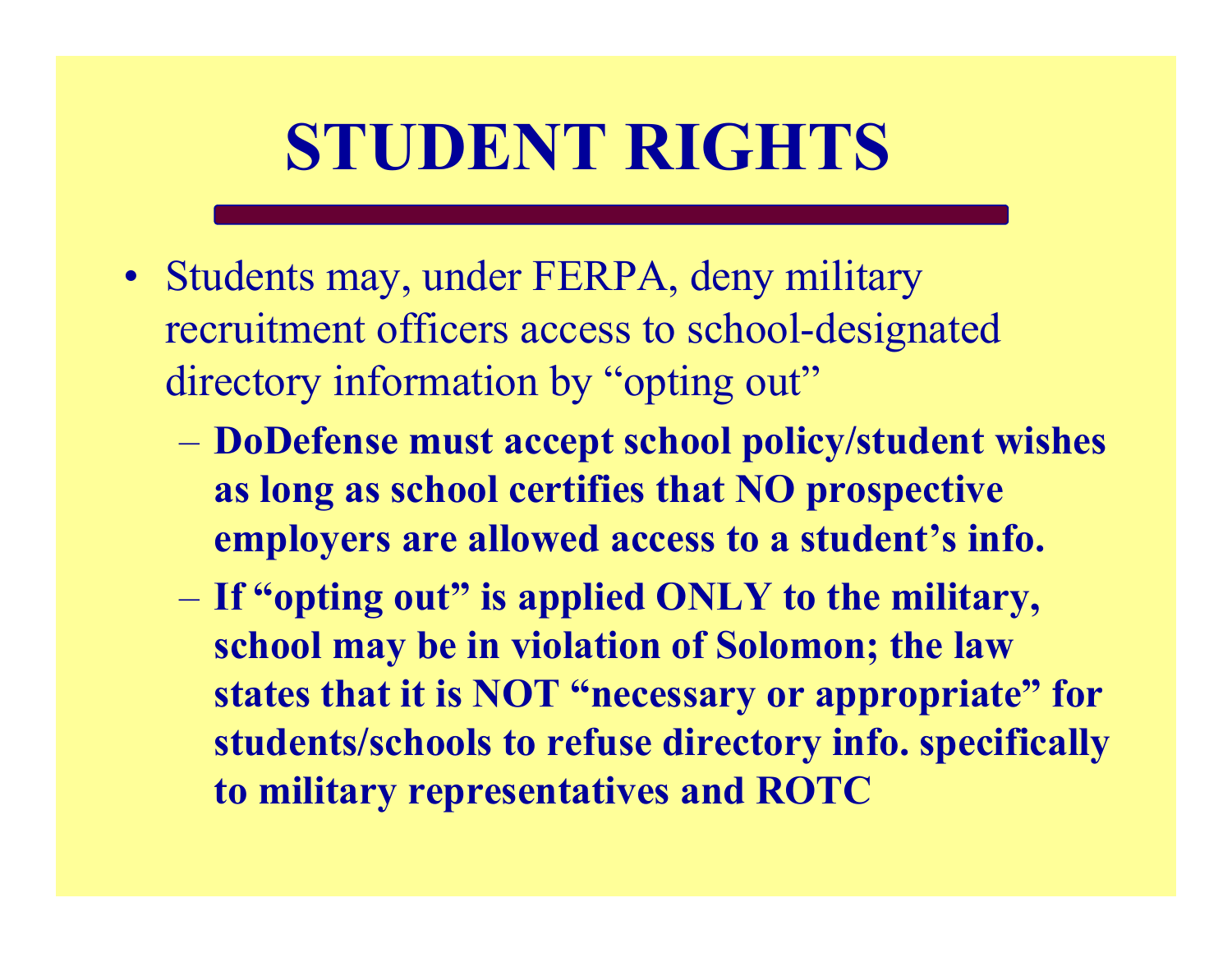## **STUDENT RIGHTS**

- Students may, under FERPA, deny military recruitment officers access to school-designated directory information by "opting out"
	- **DoDefense must accept school policy/student wishes as long as school certifies that NO prospective employers are allowed access to a student's info.**
	- **If "opting out" is applied ONLY to the military, school may be in violation of Solomon; the law states that it is NOT "necessary or appropriate" for students/schools to refuse directory info. specifically to military representatives and ROTC**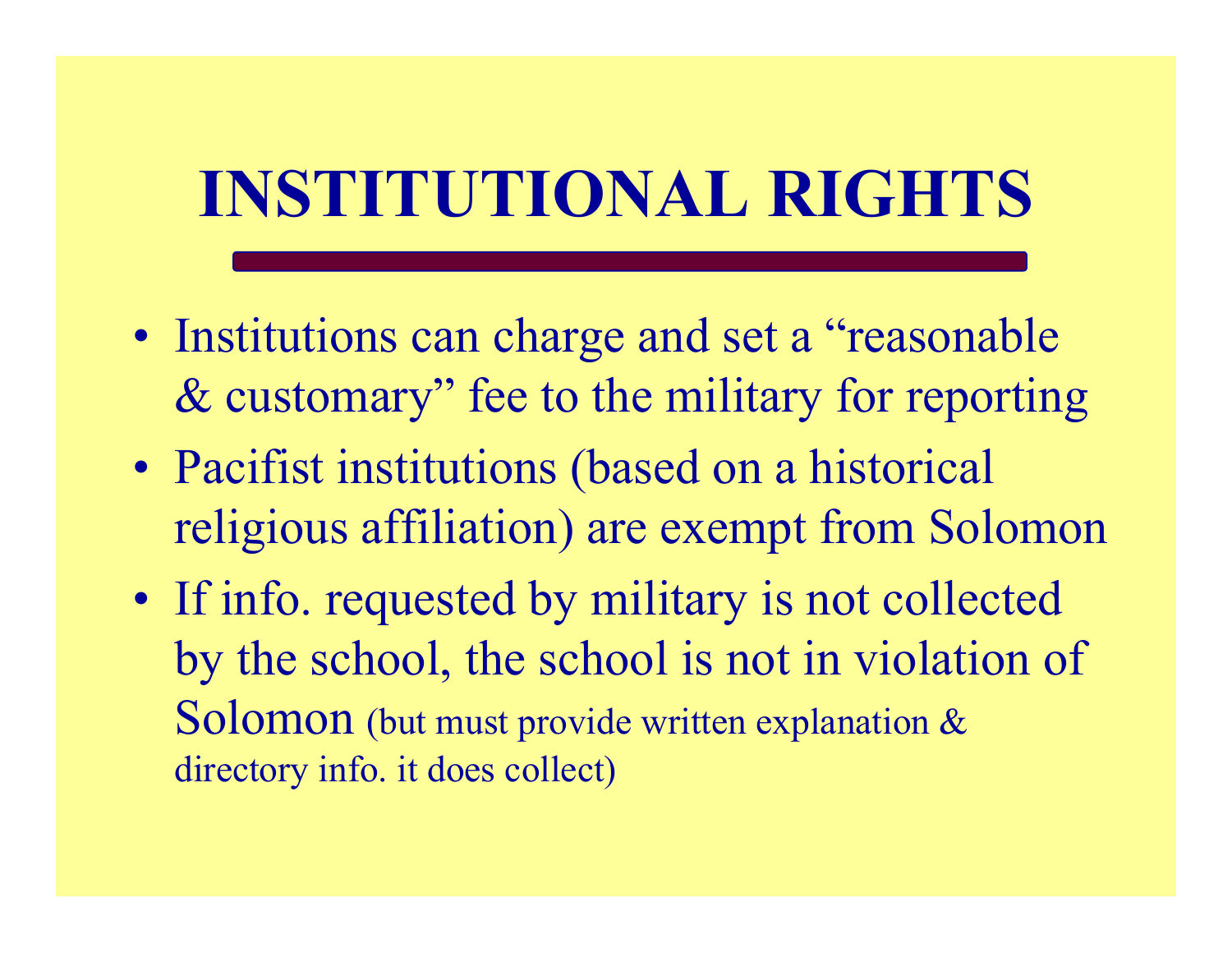## **INSTITUTIONAL RIGHTS**

- Institutions can charge and set a "reasonable & customary" fee to the military for reporting
- Pacifist institutions (based on a historical religious affiliation) are exempt from Solomon
- If info. requested by military is not collected by the school, the school is not in violation of Solomon (but must provide written explanation & directory info. it does collect)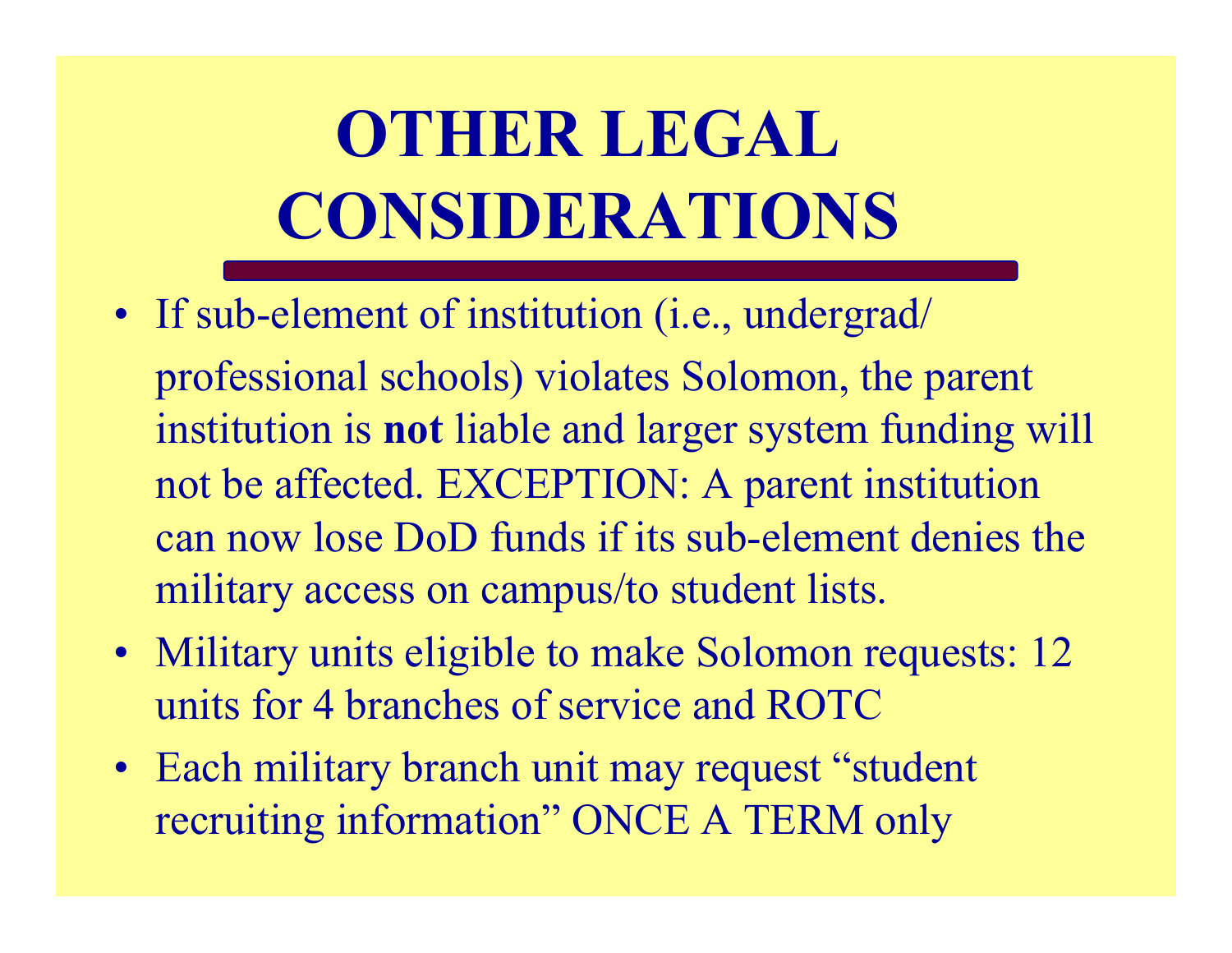# **OTHER LEGAL CONSIDERATIONS**

- If sub-element of institution (i.e., undergrad/ professional schools) violates Solomon, the parent institution is **not** liable and larger system funding will not be affected. EXCEPTION: A parent institution can now lose DoD funds if its sub-element denies the military access on campus/to student lists.
- Military units eligible to make Solomon requests: 12 units for 4 branches of service and ROTC
- Each military branch unit may request "student recruiting information" ONCE A TERM only